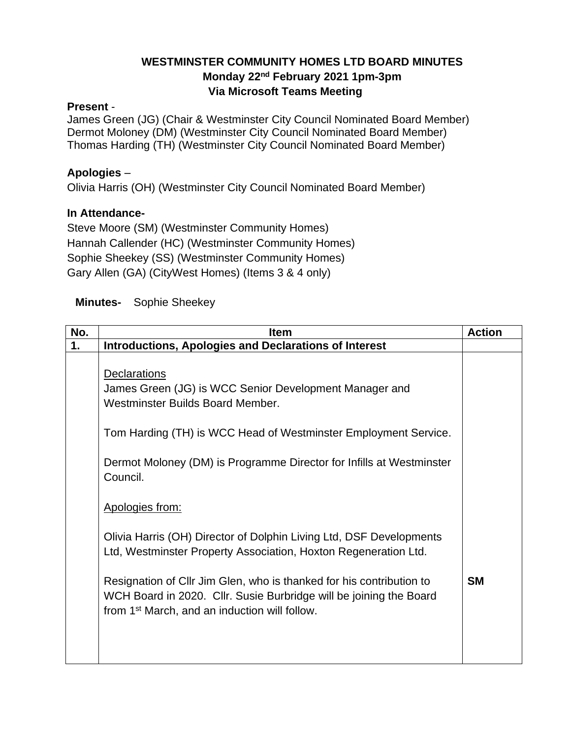# **WESTMINSTER COMMUNITY HOMES LTD BOARD MINUTES Monday 22nd February 2021 1pm-3pm Via Microsoft Teams Meeting**

#### **Present** -

James Green (JG) (Chair & Westminster City Council Nominated Board Member) Dermot Moloney (DM) (Westminster City Council Nominated Board Member) Thomas Harding (TH) (Westminster City Council Nominated Board Member)

## **Apologies** –

Olivia Harris (OH) (Westminster City Council Nominated Board Member)

#### **In Attendance-**

Steve Moore (SM) (Westminster Community Homes) Hannah Callender (HC) (Westminster Community Homes) Sophie Sheekey (SS) (Westminster Community Homes) Gary Allen (GA) (CityWest Homes) (Items 3 & 4 only)

## **Minutes-** Sophie Sheekey

| No. | <b>Item</b>                                                          | <b>Action</b> |
|-----|----------------------------------------------------------------------|---------------|
| 1.  | <b>Introductions, Apologies and Declarations of Interest</b>         |               |
|     |                                                                      |               |
|     | Declarations                                                         |               |
|     | James Green (JG) is WCC Senior Development Manager and               |               |
|     | Westminster Builds Board Member.                                     |               |
|     |                                                                      |               |
|     | Tom Harding (TH) is WCC Head of Westminster Employment Service.      |               |
|     |                                                                      |               |
|     | Dermot Moloney (DM) is Programme Director for Infills at Westminster |               |
|     | Council.                                                             |               |
|     |                                                                      |               |
|     | Apologies from:                                                      |               |
|     |                                                                      |               |
|     | Olivia Harris (OH) Director of Dolphin Living Ltd, DSF Developments  |               |
|     | Ltd, Westminster Property Association, Hoxton Regeneration Ltd.      |               |
|     |                                                                      |               |
|     | Resignation of Cllr Jim Glen, who is thanked for his contribution to | <b>SM</b>     |
|     | WCH Board in 2020. Cllr. Susie Burbridge will be joining the Board   |               |
|     | from 1 <sup>st</sup> March, and an induction will follow.            |               |
|     |                                                                      |               |
|     |                                                                      |               |
|     |                                                                      |               |
|     |                                                                      |               |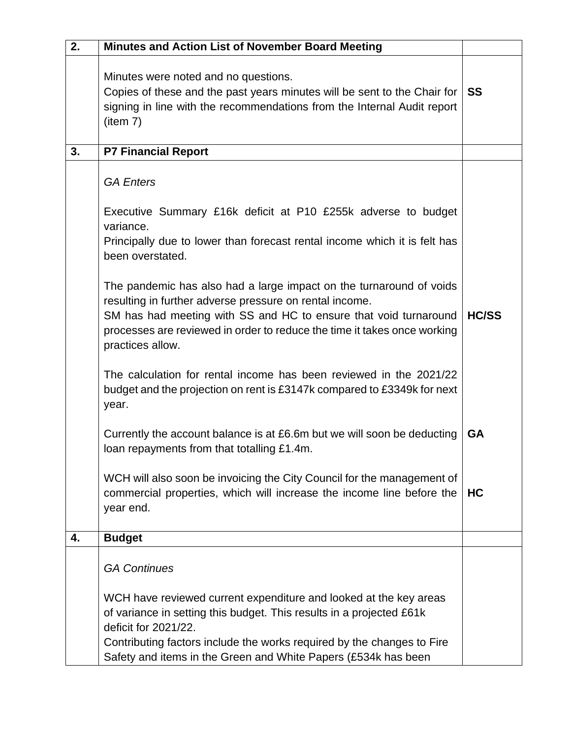| 2. | <b>Minutes and Action List of November Board Meeting</b>                                                                                                                                                |              |
|----|---------------------------------------------------------------------------------------------------------------------------------------------------------------------------------------------------------|--------------|
|    | Minutes were noted and no questions.<br>Copies of these and the past years minutes will be sent to the Chair for<br>signing in line with the recommendations from the Internal Audit report<br>(item 7) | <b>SS</b>    |
| 3. | <b>P7 Financial Report</b>                                                                                                                                                                              |              |
|    | <b>GA Enters</b>                                                                                                                                                                                        |              |
|    | Executive Summary £16k deficit at P10 £255k adverse to budget<br>variance.                                                                                                                              |              |
|    | Principally due to lower than forecast rental income which it is felt has<br>been overstated.                                                                                                           |              |
|    | The pandemic has also had a large impact on the turnaround of voids<br>resulting in further adverse pressure on rental income.                                                                          | <b>HC/SS</b> |
|    | SM has had meeting with SS and HC to ensure that void turnaround<br>processes are reviewed in order to reduce the time it takes once working<br>practices allow.                                        |              |
|    | The calculation for rental income has been reviewed in the 2021/22<br>budget and the projection on rent is £3147k compared to £3349k for next<br>year.                                                  |              |
|    | Currently the account balance is at £6.6m but we will soon be deducting<br>loan repayments from that totalling £1.4m.                                                                                   | <b>GA</b>    |
|    | WCH will also soon be invoicing the City Council for the management of<br>commercial properties, which will increase the income line before the<br>year end.                                            | HC           |
| 4. | <b>Budget</b>                                                                                                                                                                                           |              |
|    | <b>GA Continues</b>                                                                                                                                                                                     |              |
|    | WCH have reviewed current expenditure and looked at the key areas                                                                                                                                       |              |
|    | of variance in setting this budget. This results in a projected £61k<br>deficit for 2021/22.                                                                                                            |              |
|    | Contributing factors include the works required by the changes to Fire<br>Safety and items in the Green and White Papers (£534k has been                                                                |              |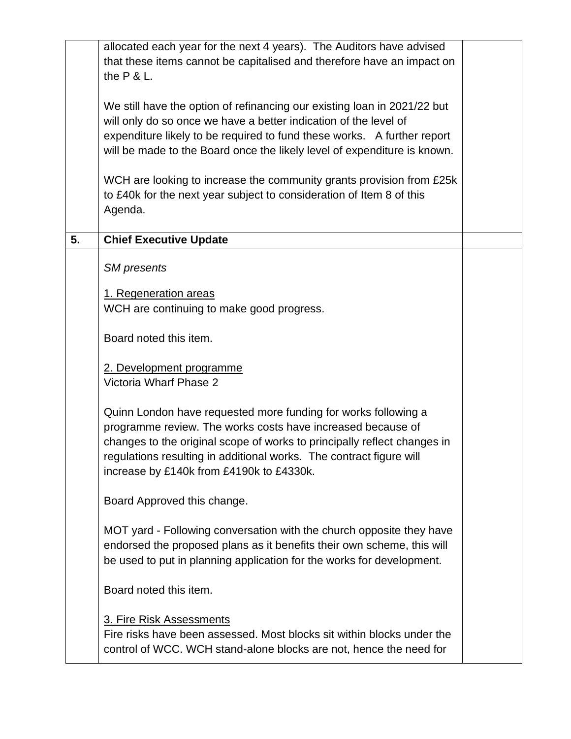|    | allocated each year for the next 4 years). The Auditors have advised                                                                    |  |
|----|-----------------------------------------------------------------------------------------------------------------------------------------|--|
|    | that these items cannot be capitalised and therefore have an impact on<br>the $P$ & L.                                                  |  |
|    |                                                                                                                                         |  |
|    | We still have the option of refinancing our existing loan in 2021/22 but                                                                |  |
|    | will only do so once we have a better indication of the level of                                                                        |  |
|    | expenditure likely to be required to fund these works. A further report                                                                 |  |
|    | will be made to the Board once the likely level of expenditure is known.                                                                |  |
|    | WCH are looking to increase the community grants provision from £25k                                                                    |  |
|    | to £40k for the next year subject to consideration of Item 8 of this                                                                    |  |
|    | Agenda.                                                                                                                                 |  |
| 5. |                                                                                                                                         |  |
|    | <b>Chief Executive Update</b>                                                                                                           |  |
|    | <b>SM</b> presents                                                                                                                      |  |
|    | 1. Regeneration areas                                                                                                                   |  |
|    | WCH are continuing to make good progress.                                                                                               |  |
|    |                                                                                                                                         |  |
|    | Board noted this item.                                                                                                                  |  |
|    | 2. Development programme                                                                                                                |  |
|    | Victoria Wharf Phase 2                                                                                                                  |  |
|    |                                                                                                                                         |  |
|    | Quinn London have requested more funding for works following a                                                                          |  |
|    | programme review. The works costs have increased because of<br>changes to the original scope of works to principally reflect changes in |  |
|    | regulations resulting in additional works. The contract figure will                                                                     |  |
|    | increase by £140k from £4190k to £4330k.                                                                                                |  |
|    |                                                                                                                                         |  |
|    | Board Approved this change.                                                                                                             |  |
|    | MOT yard - Following conversation with the church opposite they have                                                                    |  |
|    | endorsed the proposed plans as it benefits their own scheme, this will                                                                  |  |
|    | be used to put in planning application for the works for development.                                                                   |  |
|    | Board noted this item.                                                                                                                  |  |
|    | 3. Fire Risk Assessments                                                                                                                |  |
|    | Fire risks have been assessed. Most blocks sit within blocks under the                                                                  |  |
|    | control of WCC. WCH stand-alone blocks are not, hence the need for                                                                      |  |
|    |                                                                                                                                         |  |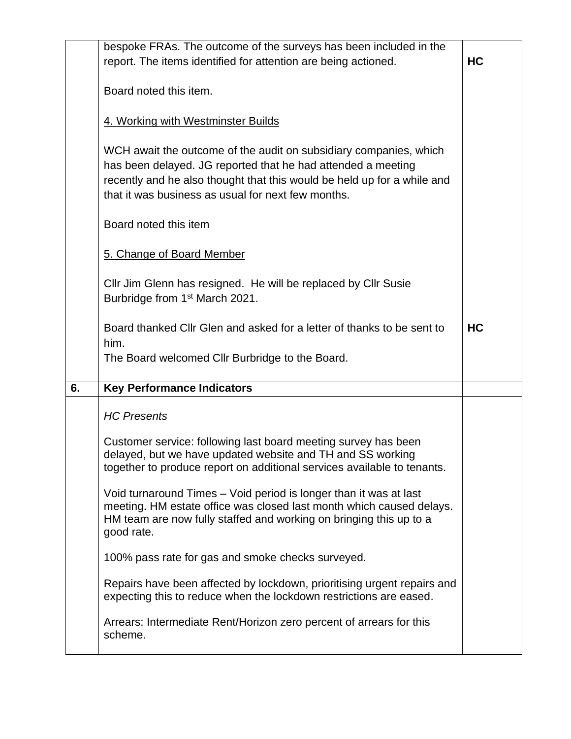| <b>HC</b> |
|-----------|
|           |
|           |
|           |
|           |
|           |
|           |
|           |
| <b>HC</b> |
|           |
|           |
|           |
|           |
|           |
|           |
|           |
|           |
|           |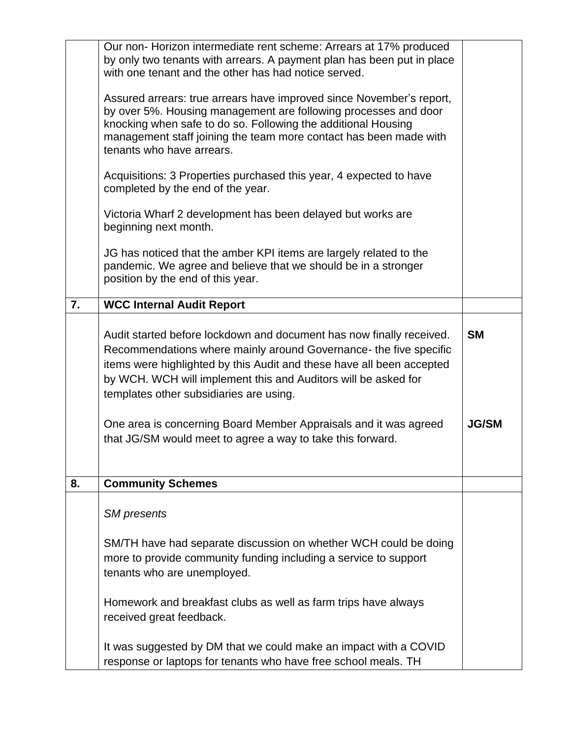|    | Our non-Horizon intermediate rent scheme: Arrears at 17% produced<br>by only two tenants with arrears. A payment plan has been put in place                                                                                                                                                                                     |              |
|----|---------------------------------------------------------------------------------------------------------------------------------------------------------------------------------------------------------------------------------------------------------------------------------------------------------------------------------|--------------|
|    | with one tenant and the other has had notice served.                                                                                                                                                                                                                                                                            |              |
|    | Assured arrears: true arrears have improved since November's report,<br>by over 5%. Housing management are following processes and door<br>knocking when safe to do so. Following the additional Housing<br>management staff joining the team more contact has been made with<br>tenants who have arrears.                      |              |
|    | Acquisitions: 3 Properties purchased this year, 4 expected to have<br>completed by the end of the year.                                                                                                                                                                                                                         |              |
|    | Victoria Wharf 2 development has been delayed but works are<br>beginning next month.                                                                                                                                                                                                                                            |              |
|    | JG has noticed that the amber KPI items are largely related to the<br>pandemic. We agree and believe that we should be in a stronger<br>position by the end of this year.                                                                                                                                                       |              |
| 7. | <b>WCC Internal Audit Report</b>                                                                                                                                                                                                                                                                                                |              |
|    | Audit started before lockdown and document has now finally received.<br>Recommendations where mainly around Governance- the five specific<br>items were highlighted by this Audit and these have all been accepted<br>by WCH. WCH will implement this and Auditors will be asked for<br>templates other subsidiaries are using. | <b>SM</b>    |
|    | One area is concerning Board Member Appraisals and it was agreed<br>that JG/SM would meet to agree a way to take this forward.                                                                                                                                                                                                  | <b>JG/SM</b> |
| 8. | <b>Community Schemes</b>                                                                                                                                                                                                                                                                                                        |              |
|    | <b>SM</b> presents                                                                                                                                                                                                                                                                                                              |              |
|    | SM/TH have had separate discussion on whether WCH could be doing<br>more to provide community funding including a service to support<br>tenants who are unemployed.                                                                                                                                                             |              |
|    | Homework and breakfast clubs as well as farm trips have always<br>received great feedback.                                                                                                                                                                                                                                      |              |
|    | It was suggested by DM that we could make an impact with a COVID<br>response or laptops for tenants who have free school meals. TH                                                                                                                                                                                              |              |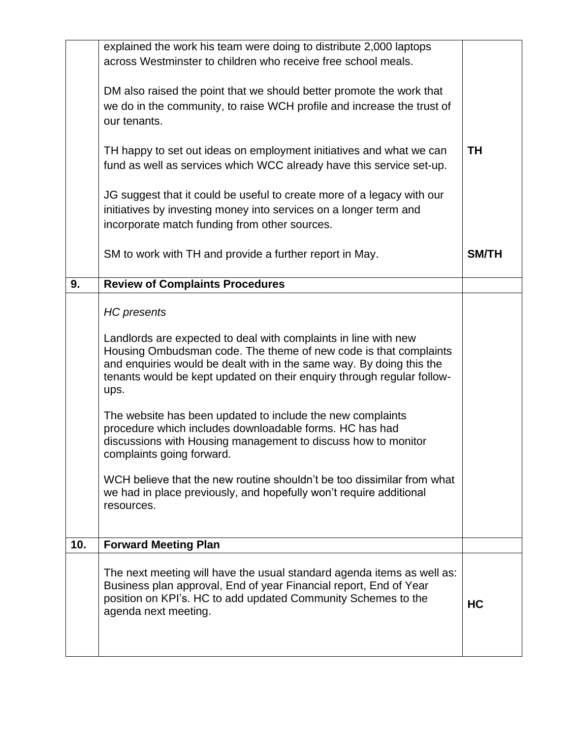|     | The next meeting will have the usual standard agenda items as well as:<br>Business plan approval, End of year Financial report, End of Year<br>position on KPI's. HC to add updated Community Schemes to the<br>agenda next meeting.                                                                                                                                                                                                                                                                                                                                                                                                                                                                     | <b>HC</b>    |
|-----|----------------------------------------------------------------------------------------------------------------------------------------------------------------------------------------------------------------------------------------------------------------------------------------------------------------------------------------------------------------------------------------------------------------------------------------------------------------------------------------------------------------------------------------------------------------------------------------------------------------------------------------------------------------------------------------------------------|--------------|
| 10. | <b>Forward Meeting Plan</b>                                                                                                                                                                                                                                                                                                                                                                                                                                                                                                                                                                                                                                                                              |              |
|     | <b>HC</b> presents<br>Landlords are expected to deal with complaints in line with new<br>Housing Ombudsman code. The theme of new code is that complaints<br>and enquiries would be dealt with in the same way. By doing this the<br>tenants would be kept updated on their enquiry through regular follow-<br>ups.<br>The website has been updated to include the new complaints<br>procedure which includes downloadable forms. HC has had<br>discussions with Housing management to discuss how to monitor<br>complaints going forward.<br>WCH believe that the new routine shouldn't be too dissimilar from what<br>we had in place previously, and hopefully won't require additional<br>resources. |              |
| 9.  | <b>Review of Complaints Procedures</b>                                                                                                                                                                                                                                                                                                                                                                                                                                                                                                                                                                                                                                                                   |              |
|     | SM to work with TH and provide a further report in May.                                                                                                                                                                                                                                                                                                                                                                                                                                                                                                                                                                                                                                                  | <b>SM/TH</b> |
|     | JG suggest that it could be useful to create more of a legacy with our<br>initiatives by investing money into services on a longer term and<br>incorporate match funding from other sources.                                                                                                                                                                                                                                                                                                                                                                                                                                                                                                             |              |
|     | TH happy to set out ideas on employment initiatives and what we can<br>fund as well as services which WCC already have this service set-up.                                                                                                                                                                                                                                                                                                                                                                                                                                                                                                                                                              | TH           |
|     | DM also raised the point that we should better promote the work that<br>we do in the community, to raise WCH profile and increase the trust of<br>our tenants.                                                                                                                                                                                                                                                                                                                                                                                                                                                                                                                                           |              |
|     | explained the work his team were doing to distribute 2,000 laptops<br>across Westminster to children who receive free school meals.                                                                                                                                                                                                                                                                                                                                                                                                                                                                                                                                                                      |              |